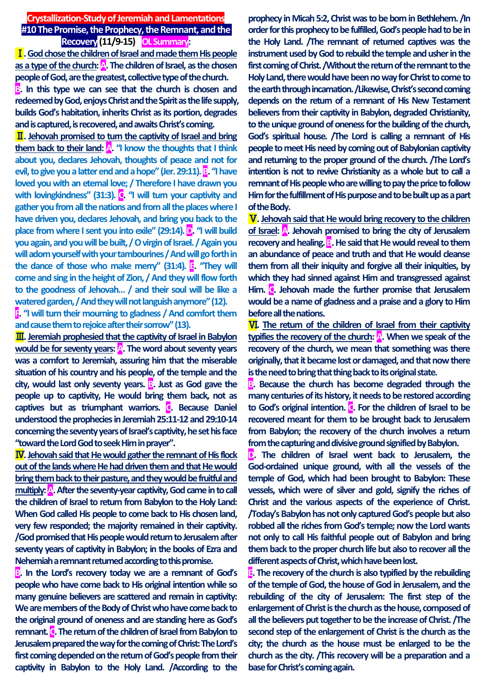**Crystallization-Study of Jeremiah and Lamentations #10 The Promise, the Prophecy, the Remnant, and the Recovery (11/9-15) OL Summary:**

Ⅰ**. God chose the children of Israel and made them His people as a type of the church: A. The children of Israel, as the chosen people of God, are the greatest, collective type of the church.** 

**B. In this type we can see that the church is chosen and redeemed by God, enjoys Christ and the Spirit as the life supply, builds God's habitation, inherits Christ as its portion, degrades and is captured, is recovered, and awaits Christ's coming.**

Ⅱ**. Jehovah promised to turn the captivity of Israel and bring them back to their land: A. "I know the thoughts that I think about you, declares Jehovah, thoughts of peace and not for evil, to give you a latter end and a hope" (Jer. 29:11). B. "I have loved you with an eternal love; / Therefore I have drawn you with lovingkindness" (31:3). C. "I will turn your captivity and gather you from all the nations and from all the places where I have driven you, declares Jehovah, and bring you back to the place from where I sent you into exile" (29:14). <b>D.** "I will build **you again, and you will be built, / O virgin of Israel. / Again you will adorn yourself with your tambourines / And will go forth in the dance of those who make merry" (31:4). E. "They will come and sing in the height of Zion, / And they will flow forth to the goodness of Jehovah… / and their soul will be like a watered garden, / And they will not languish anymore" (12).** 

**F. "I will turn their mourning to gladness / And comfort them and cause them to rejoice after their sorrow" (13).**

Ⅲ**. Jeremiah prophesied that the captivity of Israel in Babylon would be for seventy years: A. The word about seventy years was a comfort to Jeremiah, assuring him that the miserable situation of his country and his people, of the temple and the**  city, would last only seventy years. **B.** Just as God gave the **people up to captivity, He would bring them back, not as captives but as triumphant warriors. C. Because Daniel understood the prophecies in Jeremiah 25:11-12 and 29:10-14 concerning the seventy years of Israel's captivity, he set his face "toward the Lord God to seek Him in prayer".**

Ⅳ**. Jehovah said that He would gather the remnant of His flock out of the lands where He had driven them and that He would bring them back to their pasture, and they would be fruitful and multiply: A. After the seventy-year captivity, God came in to call the children of Israel to return from Babylon to the Holy Land: When God called His people to come back to His chosen land, very few responded; the majority remained in their captivity. /God promised that His people would return to Jerusalem after seventy years of captivity in Babylon; in the books of Ezra and Nehemiah a remnant returned according to this promise.** 

**B. In the Lord's recovery today we are a remnant of God's people who have come back to His original intention while so many genuine believers are scattered and remain in captivity: We are members of the Body of Christ who have come back to the original ground of oneness and are standing here as God's remnant. C. The return of the children of Israel from Babylon to Jerusalem prepared the way for the coming of Christ: The Lord's first coming depended on the return of God's people from their captivity in Babylon to the Holy Land. /According to the**  **prophecy in Micah 5:2, Christ was to be born in Bethlehem. /In order for this prophecy to be fulfilled, God's people had to be in the Holy Land. /The remnant of returned captives was the instrument used by God to rebuild the temple and usher in the first coming of Christ. /Without the return of the remnant to the Holy Land, there would have been no way for Christ to come to the earth through incarnation. /Likewise, Christ's second coming depends on the return of a remnant of His New Testament believers from their captivity in Babylon, degraded Christianity, to the unique ground of oneness for the building of the church, God's spiritual house. /The Lord is calling a remnant of His people to meet His need by coming out of Babylonian captivity and returning to the proper ground of the church. /The Lord's intention is not to revive Christianity as a whole but to call a remnant of His people who are willing to pay the price to follow Him for the fulfillment of His purpose and to be built up as a part of the Body.**

Ⅴ**. Jehovah said that He would bring recovery to the children of Israel: A. Jehovah promised to bring the city of Jerusalem recovery and healing. B.** He said that He would reveal to them **an abundance of peace and truth and that He would cleanse them from all their iniquity and forgive all their iniquities, by which they had sinned against Him and transgressed against Him. C. Jehovah made the further promise that Jerusalem would be a name of gladness and a praise and a glory to Him before all the nations.**

Ⅵ**. The return of the children of Israel from their captivity**  typifies the recovery of the church: **A.** When we speak of the **recovery of the church, we mean that something was there originally, that it became lost or damaged, and that now there is the need to bring that thing back to its original state.** 

**B.** Because the church has become degraded through the **many centuries of its history, it needs to be restored according to God's original intention. C. For the children of Israel to be recovered meant for them to be brought back to Jerusalem from Babylon; the recovery of the church involves a return from thecapturing and divisive ground signified by Babylon.** 

**D. The children of Israel went back to Jerusalem, the God-ordained unique ground, with all the vessels of the temple of God, which had been brought to Babylon: These vessels, which were of silver and gold, signify the riches of Christ and the various aspects of the experience of Christ. /Today's Babylon has not only captured God's people but also robbed all the riches from God's temple; now the Lord wants not only to call His faithful people out of Babylon and bring them back to the proper church life but also to recover all the different aspects of Christ, which have been lost.** 

**E. The recovery of the church is also typified by the rebuilding of the temple of God, the house of God in Jerusalem, and the rebuilding of the city of Jerusalem: The first step of the enlargement of Christ is the church as the house, composed of all the believers put together to be the increase of Christ. /The second step of the enlargement of Christ is the church as the city; the church as the house must be enlarged to be the church as the city. /This recovery will be a preparation and a base for Christ's coming again.**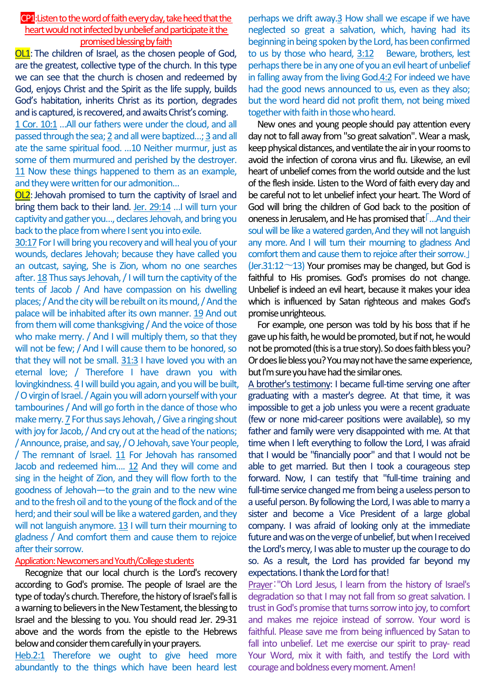# CP1: Listen to the word of faith every day, take heed that the heart would not infected by unbelief and participate it the promised blessing by faith

OL1: The children of Israel, as the chosen people of God, are the greatest, collective type of the church. In this type we can see that the church is chosen and redeemed by God, enjoys Christ and the Spirit as the life supply, builds God's habitation, inherits Christ as its portion, degrades and is captured, is recovered, and awaits Christ's coming.

1 Cor. 10:1 …All our fathers were under the cloud, and all passed through the sea; 2 and all were baptized…; 3 and all ate the same spiritual food. …10 Neither murmur, just as some of them murmured and perished by the destroyer. 11 Now these things happened to them as an example, and they were written for our admonition…

OL2: Jehovah promised to turn the captivity of Israel and bring them back to their land. Jer. 29:14 ... I will turn your captivity and gather you…, declares Jehovah, and bring you back to the place from where I sent you into exile.

30:17 For I will bring you recovery and will heal you of your wounds, declares Jehovah; because they have called you an outcast, saying, She is Zion, whom no one searches after. 18 Thus says Jehovah, / I will turn the captivity of the tents of Jacob / And have compassion on his dwelling places; / And the city will be rebuilt on its mound, / And the palace will be inhabited after its own manner. 19 And out from them will come thanksgiving / And the voice of those who make merry. / And I will multiply them, so that they will not be few; / And I will cause them to be honored, so that they will not be small. 31:3 I have loved you with an eternal love; / Therefore I have drawn you with lovingkindness. 4 I will build you again, and you will be built, / O virgin of Israel. / Again you will adorn yourself with your tambourines / And will go forth in the dance of those who make merry. 7 For thus says Jehovah, / Give a ringing shout with joy for Jacob, / And cry out at the head of the nations; / Announce, praise, and say, / O Jehovah, save Your people, / The remnant of Israel. 11 For Jehovah has ransomed Jacob and redeemed him…. 12 And they will come and sing in the height of Zion, and they will flow forth to the goodness of Jehovah—to the grain and to the new wine and to the fresh oil and to the young of the flock and of the herd; and their soul will be like a watered garden, and they will not languish anymore. 13 I will turn their mourning to gladness / And comfort them and cause them to rejoice after their sorrow.

## Application: Newcomers and Youth/College students

Recognize that our local church is the Lord's recovery according to God's promise. The people of Israel are the type of today's church. Therefore, the history of Israel's fall is a warning to believers in the New Testament, the blessing to Israel and the blessing to you. You should read Jer. 29-31 above and the words from the epistle to the Hebrews below and consider them carefully in your prayers.

Heb.2:1 Therefore we ought to give heed more abundantly to the things which have been heard lest

perhaps we drift away.3 How shall we escape if we have neglected so great a salvation, which, having had its beginning in being spoken by the Lord, has been confirmed to us by those who heard, 3:12 Beware, brothers, lest perhaps there be in any one of you an evil heart of unbelief in falling away from the living God.4:2 For indeed we have had the good news announced to us, even as they also; but the word heard did not profit them, not being mixed together with faith in those who heard.

New ones and young people should pay attention every day not to fall away from "so great salvation". Wear a mask, keep physical distances, and ventilate the air in your rooms to avoid the infection of corona virus and flu. Likewise, an evil heart of unbelief comes from the world outside and the lust of the flesh inside. Listen to the Word of faith every day and be careful not to let unbelief infect your heart. The Word of God will bring the children of God back to the position of oneness in Jerusalem, and He has promised that「…And their soul will be like a watered garden, And they will not languish any more. And I will turn their mourning to gladness And comfort them and cause them to rejoice after their sorrow.」 (Jer.31:12 $\neg$ 13) Your promises may be changed, but God is faithful to His promises. God's promises do not change. Unbelief is indeed an evil heart, because it makes your idea which is influenced by Satan righteous and makes God's promise unrighteous.

For example, one person was told by his boss that if he gave up his faith, he would be promoted, but if not, he would not be promoted (this is a true story). So does faith bless you? Or does lie bless you? You may not have the same experience, but I'm sure you have had the similar ones.

A brother's testimony: I became full-time serving one after graduating with a master's degree. At that time, it was impossible to get a job unless you were a recent graduate (few or none mid-career positions were available), so my father and family were very disappointed with me. At that time when I left everything to follow the Lord, I was afraid that I would be "financially poor" and that I would not be able to get married. But then I took a courageous step forward. Now, I can testify that "full-time training and full-time service changed me from being a useless person to a useful person. By following the Lord, I was able to marry a sister and become a Vice President of a large global company. I was afraid of looking only at the immediate future and was on the verge of unbelief, but when I received the Lord's mercy, I was able to muster up the courage to do so. As a result, the Lord has provided far beyond my expectations. I thank the Lord for that!

Prayer:"Oh Lord Jesus, I learn from the history of Israel's degradation so that I may not fall from so great salvation. I trust in God's promise that turns sorrow into joy, to comfort and makes me rejoice instead of sorrow. Your word is faithful. Please save me from being influenced by Satan to fall into unbelief. Let me exercise our spirit to pray- read Your Word, mix it with faith, and testify the Lord with courage and boldness every moment. Amen!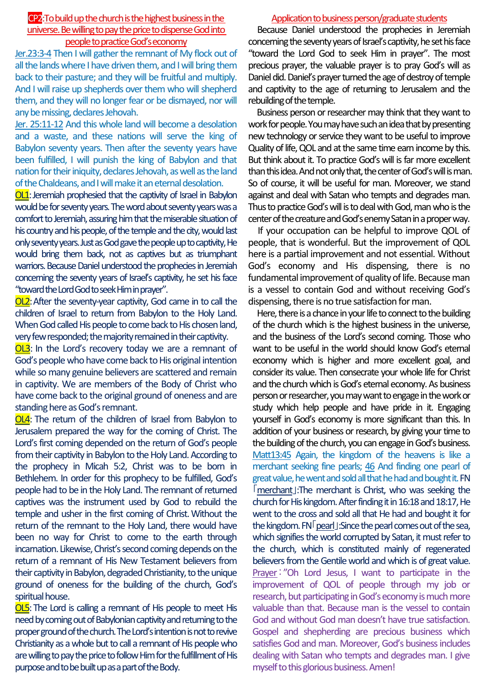# CP2: To build up the church is the highest business in the universe. Be willing to pay the price to dispense God into people to practice God's economy

Jer.23:3-4 Then I will gather the remnant of My flock out of all the lands where I have driven them, and I will bring them back to their pasture; and they will be fruitful and multiply. And I will raise up shepherds over them who will shepherd them, and they will no longer fear or be dismayed, nor will any be missing, declares Jehovah.

Jer. 25:11-12 And this whole land will become a desolation and a waste, and these nations will serve the king of Babylon seventy years. Then after the seventy years have been fulfilled, I will punish the king of Babylon and that nation for their iniquity, declares Jehovah, as well as the land of the Chaldeans, and I will make it an eternal desolation.

OL1: Jeremiah prophesied that the captivity of Israel in Babylon would be for seventy years. The word about seventy years was a comfort to Jeremiah, assuring him that the miserable situation of his country and his people, of the temple and the city, would last only seventy years. Just as God gave the people up to captivity, He would bring them back, not as captives but as triumphant warriors. Because Daniel understood the prophecies in Jeremiah concerning the seventy years of Israel's captivity, he set his face "toward the Lord God to seek Him in prayer".

OL2:After the seventy-year captivity, God came in to call the children of Israel to return from Babylon to the Holy Land. When God called His people to come back to His chosen land, very few responded; the majority remained in their captivity.

OL3: In the Lord's recovery today we are a remnant of God's people who have come back to His original intention while so many genuine believers are scattered and remain in captivity. We are members of the Body of Christ who have come back to the original ground of oneness and are standing here as God's remnant.

OL4: The return of the children of Israel from Babylon to Jerusalem prepared the way for the coming of Christ. The Lord's first coming depended on the return of God's people from their captivity in Babylon to the Holy Land. According to the prophecy in Micah 5:2, Christ was to be born in Bethlehem. In order for this prophecy to be fulfilled, God's people had to be in the Holy Land. The remnant of returned captives was the instrument used by God to rebuild the temple and usher in the first coming of Christ.Without the return of the remnant to the Holy Land, there would have been no way for Christ to come to the earth through incarnation. Likewise, Christ's second coming depends on the return of a remnant of His New Testament believers from their captivity in Babylon, degraded Christianity, to the unique ground of oneness for the building of the church, God's spiritual house.

OL5:The Lord is calling a remnant of His people to meet His need by coming out of Babylonian captivity and returning to the proper ground of the church. The Lord's intention is not to revive Christianity as a whole but to call a remnant of His people who are willing to pay the price to follow Him for the fulfillment of His purpose and to be built up as a part of the Body.

## Application to business person/graduate students

Because Daniel understood the prophecies in Jeremiah concerning the seventy years of Israel's captivity, he set his face "toward the Lord God to seek Him in prayer". The most precious prayer, the valuable prayer is to pray God's will as Daniel did. Daniel's prayer turned the age of destroy of temple and captivity to the age of returning to Jerusalem and the rebuilding of the temple.

Business person or researcher may think that they want to work for people. You may have such an idea that by presenting new technology or service they want to be useful to improve Quality of life, QOL and at the same time earn income by this. But think about it. To practice God's will is far more excellent than this idea. And not only that, the center of God's will is man. So of course, it will be useful for man. Moreover, we stand against and deal with Satan who tempts and degrades man. Thus to practice God's will is to deal with God, man who is the center of the creature and God's enemy Satan in a proper way.

If your occupation can be helpful to improve QOL of people, that is wonderful. But the improvement of QOL here is a partial improvement and not essential. Without God's economy and His dispensing, there is no fundamental improvement of quality of life. Because man is a vessel to contain God and without receiving God's dispensing, there is no true satisfaction for man.

Here, there is a chance in your life to connect to the building of the church which is the highest business in the universe, and the business of the Lord's second coming. Those who want to be useful in the world should know God's eternal economy which is higher and more excellent goal, and consider its value. Then consecrate your whole life for Christ and the church which is God's eternal economy. As business person or researcher, you may want to engage in the work or study which help people and have pride in it. Engaging yourself in God's economy is more significant than this. In addition of your business or research, by giving your time to the building of the church, you can engage in God's business. Matt13:45 Again, the kingdom of the heavens is like a merchant seeking fine pearls; 46 And finding one pearl of great value, he went and sold all that he had and bought it.FN 「merchant」:The merchant is Christ, who was seeking the church for His kingdom. After finding it in 16:18 and 18:17, He went to the cross and sold all that He had and bought it for the kingdom. FN「pearl」:Since the pearl comes out of the sea, which signifies the world corrupted by Satan, it must refer to the church, which is constituted mainly of regenerated believers from the Gentile world and which is of great value. Prayer:"Oh Lord Jesus, I want to participate in the improvement of QOL of people through my job or research, but participating in God's economy is much more valuable than that. Because man is the vessel to contain God and without God man doesn't have true satisfaction. Gospel and shepherding are precious business which satisfies God and man. Moreover, God's business includes dealing with Satan who tempts and degrades man. I give myself to this glorious business. Amen!